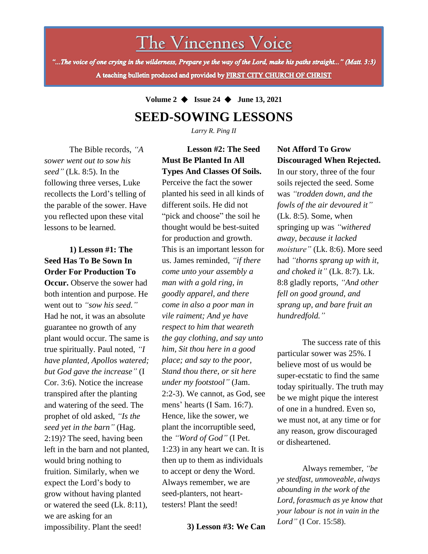# The Vincennes Voice

"...The voice of one crying in the wilderness, Prepare ye the way of the Lord, make his paths straight..." (Matt. 3:3) A teaching bulletin produced and provided by FIRST CITY CHURCH OF CHRIST

**Volume 2** ◆ **Issue 24** ◆ **June 13, 2021**

## **SEED-SOWING LESSONS**

*Larry R. Ping II*

**Lesson #2: The Seed** 

The Bible records, *"A sower went out to sow his seed"* (Lk. 8:5). In the following three verses, Luke recollects the Lord's telling of the parable of the sower. Have you reflected upon these vital lessons to be learned.

### **1) Lesson #1: The Seed Has To Be Sown In Order For Production To**

expect the Lord's body to **Occur.** Observe the sower had both intention and purpose. He went out to *"sow his seed."* Had he not, it was an absolute guarantee no growth of any plant would occur. The same is true spiritually. Paul noted, *"I have planted, Apollos watered; but God gave the increase"* (I Cor. 3:6). Notice the increase transpired after the planting and watering of the seed. The prophet of old asked, *"Is the seed yet in the barn"* (Hag. 2:19)? The seed, having been left in the barn and not planted, would bring nothing to fruition. Similarly, when we grow without having planted or watered the seed (Lk. 8:11), we are asking for an impossibility. Plant the seed!

**Must Be Planted In All Types And Classes Of Soils.**  Perceive the fact the sower planted his seed in all kinds of different soils. He did not "pick and choose" the soil he thought would be best-suited for production and growth. This is an important lesson for us. James reminded, *"if there come unto your assembly a man with a gold ring, in goodly apparel, and there come in also a poor man in vile raiment; And ye have respect to him that weareth the gay clothing, and say unto him, Sit thou here in a good place; and say to the poor, Stand thou there, or sit here under my footstool"* (Jam. 2:2-3). We cannot, as God, see mens' hearts (I Sam. 16:7). Hence, like the sower, we plant the incorruptible seed, the *"Word of God"* (I Pet. 1:23) in any heart we can. It is then up to them as individuals to accept or deny the Word. Always remember, we are seed-planters, not hearttesters! Plant the seed!

**3) Lesson #3: We Can**

### **Not Afford To Grow Discouraged When Rejected.**

In our story, three of the four soils rejected the seed. Some was *"trodden down, and the fowls of the air devoured it"* (Lk. 8:5). Some, when springing up was *"withered away, because it lacked moisture"* (Lk. 8:6). More seed had *"thorns sprang up with it, and choked it"* (Lk. 8:7). Lk. 8:8 gladly reports, *"And other fell on good ground, and sprang up, and bare fruit an hundredfold."*

The success rate of this particular sower was 25%. I believe most of us would be super-ecstatic to find the same today spiritually. The truth may be we might pique the interest of one in a hundred. Even so, we must not, at any time or for any reason, grow discouraged or disheartened.

Always remember, *"be ye stedfast, unmoveable, always abounding in the work of the Lord, forasmuch as ye know that your labour is not in vain in the Lord"* (I Cor. 15:58).